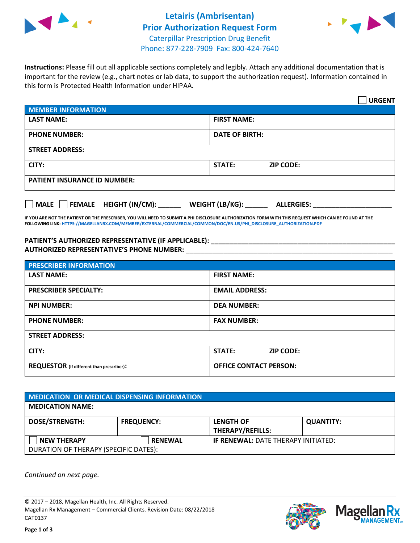



**Instructions:** Please fill out all applicable sections completely and legibly. Attach any additional documentation that is important for the review (e.g., chart notes or lab data, to support the authorization request). Information contained in this form is Protected Health Information under HIPAA.

|                                       | <b>URGENT</b>                        |  |  |  |
|---------------------------------------|--------------------------------------|--|--|--|
| <b>MEMBER INFORMATION</b>             |                                      |  |  |  |
| <b>LAST NAME:</b>                     | <b>FIRST NAME:</b>                   |  |  |  |
| <b>PHONE NUMBER:</b>                  | <b>DATE OF BIRTH:</b>                |  |  |  |
| <b>STREET ADDRESS:</b>                |                                      |  |  |  |
| CITY:                                 | <b>STATE:</b><br><b>ZIP CODE:</b>    |  |  |  |
| <b>PATIENT INSURANCE ID NUMBER:</b>   |                                      |  |  |  |
| FEMALE HEIGHT (IN/CM):<br><b>MALE</b> | WEIGHT (LB/KG):<br><b>ALLERGIES:</b> |  |  |  |

**IF YOU ARE NOT THE PATIENT OR THE PRESCRIBER, YOU WILL NEED TO SUBMIT A PHI DISCLOSURE AUTHORIZATION FORM WITH THIS REQUEST WHICH CAN BE FOUND AT THE FOLLOWING LINK[: HTTPS://MAGELLANRX.COM/MEMBER/EXTERNAL/COMMERCIAL/COMMON/DOC/EN-US/PHI\\_DISCLOSURE\\_AUTHORIZATION.PDF](https://magellanrx.com/member/external/commercial/common/doc/en-us/PHI_Disclosure_Authorization.pdf)**

**PATIENT'S AUTHORIZED REPRESENTATIVE (IF APPLICABLE): \_\_\_\_\_\_\_\_\_\_\_\_\_\_\_\_\_\_\_\_\_\_\_\_\_\_\_\_\_\_\_\_\_\_\_\_\_\_\_\_\_\_\_\_\_\_\_\_\_ AUTHORIZED REPRESENTATIVE'S PHONE NUMBER:** \_\_\_\_\_\_\_\_\_\_\_\_\_\_\_\_\_\_\_\_\_\_\_\_\_\_\_\_\_\_\_\_\_\_\_\_\_\_\_\_\_\_\_\_\_\_\_\_\_\_\_\_\_\_\_

| <b>PRESCRIBER INFORMATION</b>             |                               |  |  |  |
|-------------------------------------------|-------------------------------|--|--|--|
| <b>LAST NAME:</b>                         | <b>FIRST NAME:</b>            |  |  |  |
| <b>PRESCRIBER SPECIALTY:</b>              | <b>EMAIL ADDRESS:</b>         |  |  |  |
| <b>NPI NUMBER:</b>                        | <b>DEA NUMBER:</b>            |  |  |  |
| <b>PHONE NUMBER:</b>                      | <b>FAX NUMBER:</b>            |  |  |  |
| <b>STREET ADDRESS:</b>                    |                               |  |  |  |
| CITY:                                     | STATE:<br><b>ZIP CODE:</b>    |  |  |  |
| REQUESTOR (if different than prescriber): | <b>OFFICE CONTACT PERSON:</b> |  |  |  |

| <b>MEDICATION OR MEDICAL DISPENSING INFORMATION</b> |                   |                                            |                  |  |  |
|-----------------------------------------------------|-------------------|--------------------------------------------|------------------|--|--|
| <b>MEDICATION NAME:</b>                             |                   |                                            |                  |  |  |
| <b>DOSE/STRENGTH:</b>                               | <b>FREQUENCY:</b> | <b>LENGTH OF</b>                           | <b>QUANTITY:</b> |  |  |
|                                                     |                   | <b>THERAPY/REFILLS:</b>                    |                  |  |  |
| <b>NEW THERAPY</b>                                  | <b>RENEWAL</b>    | <b>IF RENEWAL: DATE THERAPY INITIATED:</b> |                  |  |  |
| DURATION OF THERAPY (SPECIFIC DATES):               |                   |                                            |                  |  |  |

*Continued on next page.*

© 2017 – 2018, Magellan Health, Inc. All Rights Reserved. Magellan Rx Management – Commercial Clients. Revision Date: 08/22/2018 CAT0137



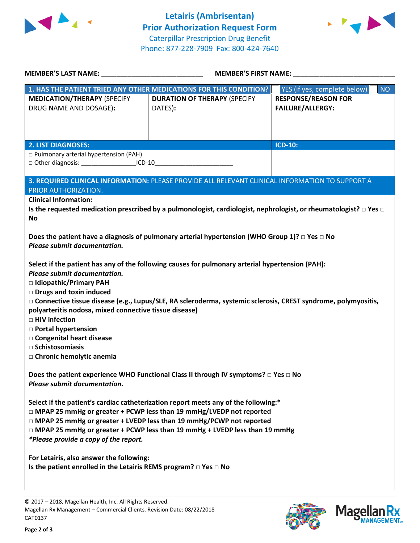



| <b>MEMBER'S LAST NAME:</b> NAME:                                                                                                                                          | <b>MEMBER'S FIRST NAME:</b>                                                                      |                                                       |  |  |  |
|---------------------------------------------------------------------------------------------------------------------------------------------------------------------------|--------------------------------------------------------------------------------------------------|-------------------------------------------------------|--|--|--|
|                                                                                                                                                                           | 1. HAS THE PATIENT TRIED ANY OTHER MEDICATIONS FOR THIS CONDITION?                               | YES (if yes, complete below)<br><b>NO</b>             |  |  |  |
| <b>MEDICATION/THERAPY (SPECIFY</b><br>DRUG NAME AND DOSAGE):                                                                                                              | <b>DURATION OF THERAPY (SPECIFY</b><br>DATES):                                                   | <b>RESPONSE/REASON FOR</b><br><b>FAILURE/ALLERGY:</b> |  |  |  |
|                                                                                                                                                                           |                                                                                                  |                                                       |  |  |  |
| <b>2. LIST DIAGNOSES:</b>                                                                                                                                                 |                                                                                                  | <b>ICD-10:</b>                                        |  |  |  |
| □ Pulmonary arterial hypertension (PAH)                                                                                                                                   |                                                                                                  |                                                       |  |  |  |
| □ Other diagnosis: _____________________ICD-10_________________________________                                                                                           |                                                                                                  |                                                       |  |  |  |
| PRIOR AUTHORIZATION.                                                                                                                                                      | 3. REQUIRED CLINICAL INFORMATION: PLEASE PROVIDE ALL RELEVANT CLINICAL INFORMATION TO SUPPORT A  |                                                       |  |  |  |
| <b>Clinical Information:</b>                                                                                                                                              |                                                                                                  |                                                       |  |  |  |
| Is the requested medication prescribed by a pulmonologist, cardiologist, nephrologist, or rheumatologist? $\Box$ Yes $\Box$<br><b>No</b>                                  |                                                                                                  |                                                       |  |  |  |
| Does the patient have a diagnosis of pulmonary arterial hypertension (WHO Group 1)? $\Box$ Yes $\Box$ No                                                                  |                                                                                                  |                                                       |  |  |  |
| Please submit documentation.                                                                                                                                              |                                                                                                  |                                                       |  |  |  |
| Please submit documentation.                                                                                                                                              | Select if the patient has any of the following causes for pulmonary arterial hypertension (PAH): |                                                       |  |  |  |
| □ Idiopathic/Primary PAH                                                                                                                                                  |                                                                                                  |                                                       |  |  |  |
| Drugs and toxin induced                                                                                                                                                   |                                                                                                  |                                                       |  |  |  |
| □ Connective tissue disease (e.g., Lupus/SLE, RA scleroderma, systemic sclerosis, CREST syndrome, polymyositis,<br>polyarteritis nodosa, mixed connective tissue disease) |                                                                                                  |                                                       |  |  |  |
| □ HIV infection                                                                                                                                                           |                                                                                                  |                                                       |  |  |  |
| □ Portal hypertension                                                                                                                                                     |                                                                                                  |                                                       |  |  |  |
| □ Congenital heart disease<br>□ Schistosomiasis                                                                                                                           |                                                                                                  |                                                       |  |  |  |
| □ Chronic hemolytic anemia                                                                                                                                                |                                                                                                  |                                                       |  |  |  |
| Does the patient experience WHO Functional Class II through IV symptoms? □ Yes □ No<br>Please submit documentation.                                                       |                                                                                                  |                                                       |  |  |  |
| Select if the patient's cardiac catheterization report meets any of the following:*                                                                                       |                                                                                                  |                                                       |  |  |  |
| □ MPAP 25 mmHg or greater + PCWP less than 19 mmHg/LVEDP not reported<br>□ MPAP 25 mmHg or greater + LVEDP less than 19 mmHg/PCWP not reported                            |                                                                                                  |                                                       |  |  |  |
| □ MPAP 25 mmHg or greater + PCWP less than 19 mmHg + LVEDP less than 19 mmHg                                                                                              |                                                                                                  |                                                       |  |  |  |
| *Please provide a copy of the report.                                                                                                                                     |                                                                                                  |                                                       |  |  |  |
| For Letairis, also answer the following:                                                                                                                                  |                                                                                                  |                                                       |  |  |  |
| Is the patient enrolled in the Letairis REMS program? $\Box$ Yes $\Box$ No                                                                                                |                                                                                                  |                                                       |  |  |  |